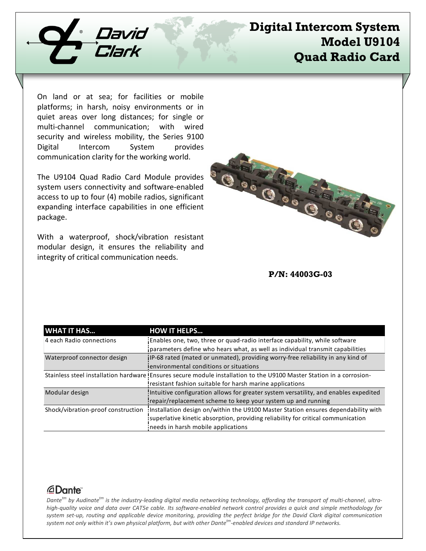

# **Digital Intercom System Model U9104 Quad Radio Card**

On land or at sea; for facilities or mobile platforms; in harsh, noisy environments or in quiet areas over long distances; for single or multi-channel communication; with wired security and wireless mobility, the Series 9100 Digital Intercom System provides communication clarity for the working world.

The U9104 Quad Radio Card Module provides system users connectivity and software-enabled access to up to four (4) mobile radios, significant expanding interface capabilities in one efficient package.

With a waterproof, shock/vibration resistant modular design, it ensures the reliability and integrity of critical communication needs.



## **P/N: 44003G-03**

| <b>WHAT IT HAS</b>                 | <b>HOW IT HELPS</b>                                                                                                  |
|------------------------------------|----------------------------------------------------------------------------------------------------------------------|
| 4 each Radio connections           | Enables one, two, three or quad-radio interface capability, while software                                           |
|                                    | parameters define who hears what, as well as individual transmit capabilities                                        |
| Waterproof connector design        | ilP-68 rated (mated or unmated), providing worry-free reliability in any kind of                                     |
|                                    | Tenvironmental conditions or situations                                                                              |
|                                    | Stainless steel installation hardware Ensures secure module installation to the U9100 Master Station in a corrosion- |
|                                    | resistant fashion suitable for harsh marine applications                                                             |
| Modular design                     | Intuitive configuration allows for greater system versatility, and enables expedited                                 |
|                                    | repair/replacement scheme to keep your system up and running                                                         |
| Shock/vibration-proof construction | Installation design on/within the U9100 Master Station ensures dependability with                                    |
|                                    | superlative kinetic absorption, providing reliability for critical communication                                     |
|                                    | needs in harsh mobile applications                                                                                   |

## *<u>ADante</u>*

*Dantetm by Audinatetm is the industry-leading digital media networking technology, affording the transport of multi-channel, ultrahigh-quality voice and data over CAT5e cable. Its software-enabled network control provides a quick and simple methodology for system set-up, routing and applicable device monitoring, providing the perfect bridge for the David Clark digital communication system not only within it's own physical platform, but with other Dantetm-enabled devices and standard IP networks.*